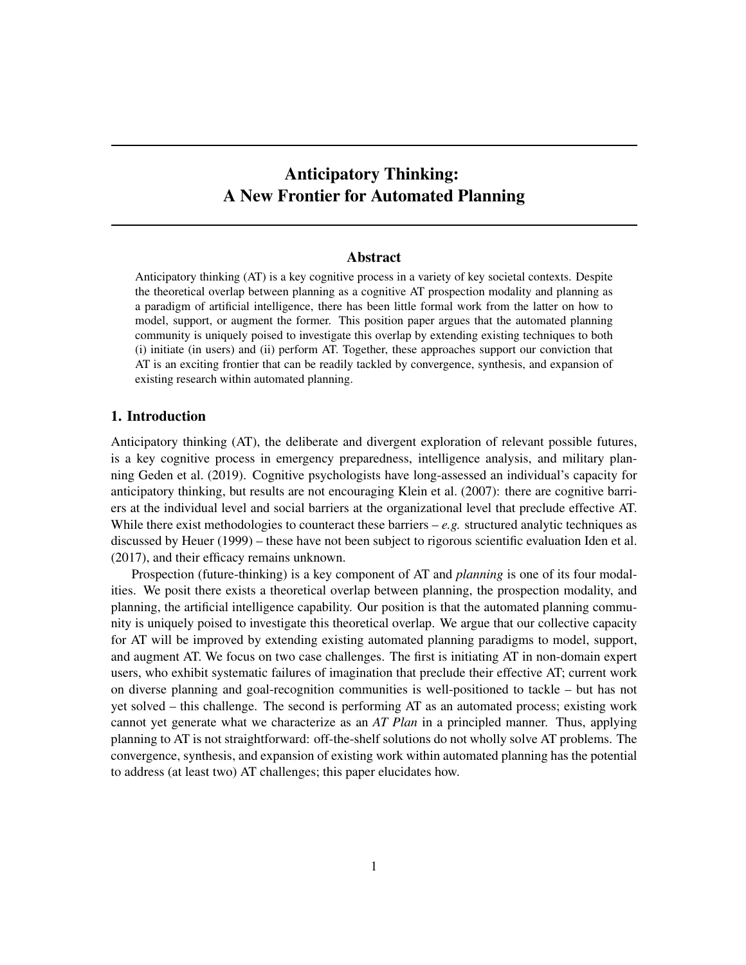# Anticipatory Thinking: A New Frontier for Automated Planning

#### Abstract

Anticipatory thinking (AT) is a key cognitive process in a variety of key societal contexts. Despite the theoretical overlap between planning as a cognitive AT prospection modality and planning as a paradigm of artificial intelligence, there has been little formal work from the latter on how to model, support, or augment the former. This position paper argues that the automated planning community is uniquely poised to investigate this overlap by extending existing techniques to both (i) initiate (in users) and (ii) perform AT. Together, these approaches support our conviction that AT is an exciting frontier that can be readily tackled by convergence, synthesis, and expansion of existing research within automated planning.

# 1. Introduction

Anticipatory thinking (AT), the deliberate and divergent exploration of relevant possible futures, is a key cognitive process in emergency preparedness, intelligence analysis, and military planning Geden et al. (2019). Cognitive psychologists have long-assessed an individual's capacity for anticipatory thinking, but results are not encouraging Klein et al. (2007): there are cognitive barriers at the individual level and social barriers at the organizational level that preclude effective AT. While there exist methodologies to counteract these barriers  $-e.g.$  structured analytic techniques as discussed by Heuer (1999) – these have not been subject to rigorous scientific evaluation Iden et al. (2017), and their efficacy remains unknown.

Prospection (future-thinking) is a key component of AT and *planning* is one of its four modalities. We posit there exists a theoretical overlap between planning, the prospection modality, and planning, the artificial intelligence capability. Our position is that the automated planning community is uniquely poised to investigate this theoretical overlap. We argue that our collective capacity for AT will be improved by extending existing automated planning paradigms to model, support, and augment AT. We focus on two case challenges. The first is initiating AT in non-domain expert users, who exhibit systematic failures of imagination that preclude their effective AT; current work on diverse planning and goal-recognition communities is well-positioned to tackle – but has not yet solved – this challenge. The second is performing AT as an automated process; existing work cannot yet generate what we characterize as an *AT Plan* in a principled manner. Thus, applying planning to AT is not straightforward: off-the-shelf solutions do not wholly solve AT problems. The convergence, synthesis, and expansion of existing work within automated planning has the potential to address (at least two) AT challenges; this paper elucidates how.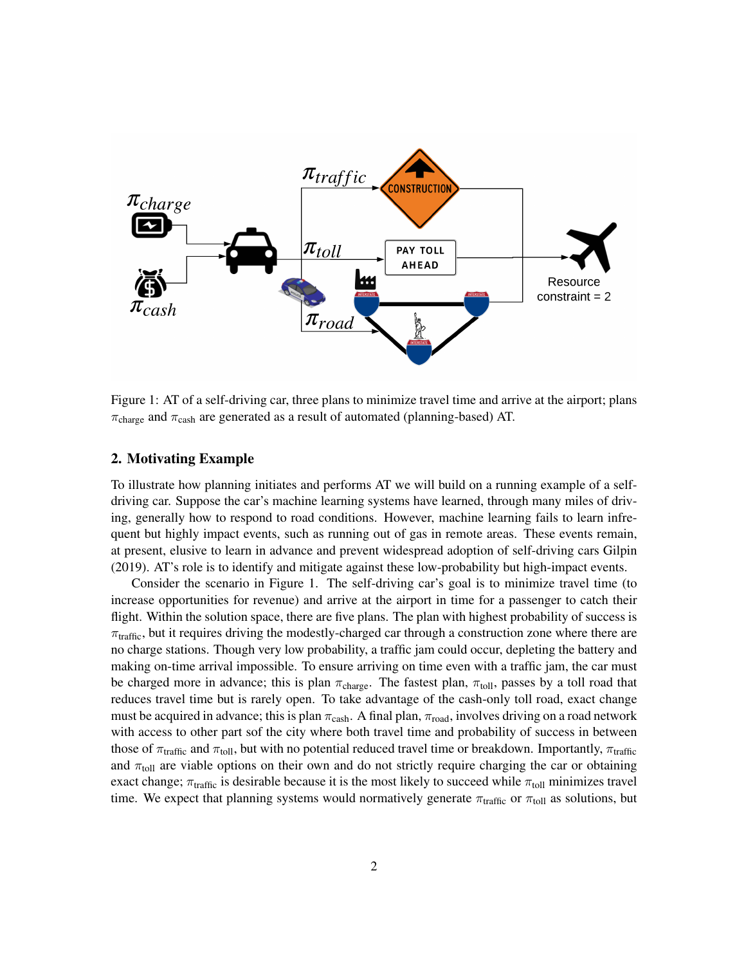

Figure 1: AT of a self-driving car, three plans to minimize travel time and arrive at the airport; plans  $\pi_{\text{charge}}$  and  $\pi_{\text{cash}}$  are generated as a result of automated (planning-based) AT.

#### 2. Motivating Example

To illustrate how planning initiates and performs AT we will build on a running example of a selfdriving car. Suppose the car's machine learning systems have learned, through many miles of driving, generally how to respond to road conditions. However, machine learning fails to learn infrequent but highly impact events, such as running out of gas in remote areas. These events remain, at present, elusive to learn in advance and prevent widespread adoption of self-driving cars Gilpin (2019). AT's role is to identify and mitigate against these low-probability but high-impact events.

Consider the scenario in Figure 1. The self-driving car's goal is to minimize travel time (to increase opportunities for revenue) and arrive at the airport in time for a passenger to catch their flight. Within the solution space, there are five plans. The plan with highest probability of success is  $\pi_{\text{traffic}}$ , but it requires driving the modestly-charged car through a construction zone where there are no charge stations. Though very low probability, a traffic jam could occur, depleting the battery and making on-time arrival impossible. To ensure arriving on time even with a traffic jam, the car must be charged more in advance; this is plan  $\pi_{charge}$ . The fastest plan,  $\pi_{toll}$ , passes by a toll road that reduces travel time but is rarely open. To take advantage of the cash-only toll road, exact change must be acquired in advance; this is plan  $\pi_{\text{cash}}$ . A final plan,  $\pi_{\text{road}}$ , involves driving on a road network with access to other part sof the city where both travel time and probability of success in between those of  $\pi_{\text{traffic}}$  and  $\pi_{\text{toll}}$ , but with no potential reduced travel time or breakdown. Importantly,  $\pi_{\text{traffic}}$ and  $\pi_{\text{toll}}$  are viable options on their own and do not strictly require charging the car or obtaining exact change;  $\pi_{\text{traffic}}$  is desirable because it is the most likely to succeed while  $\pi_{\text{tol}}$  minimizes travel time. We expect that planning systems would normatively generate  $\pi_{\text{traffic}}$  or  $\pi_{\text{tol}}$  as solutions, but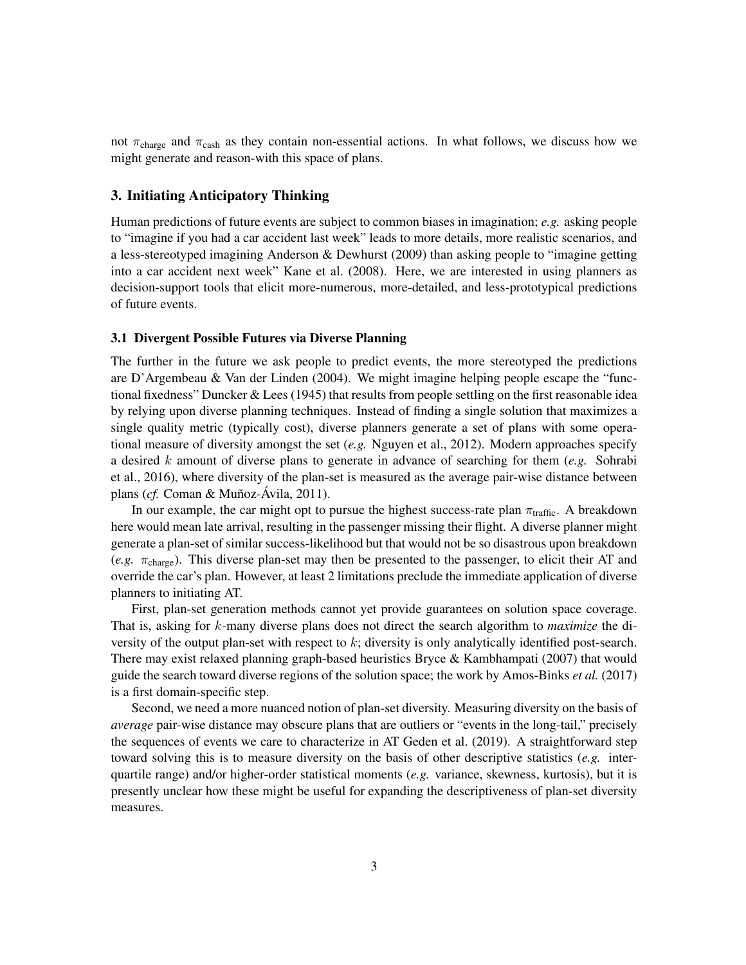not  $\pi_{\text{charge}}$  and  $\pi_{\text{cash}}$  as they contain non-essential actions. In what follows, we discuss how we might generate and reason-with this space of plans.

# 3. Initiating Anticipatory Thinking

Human predictions of future events are subject to common biases in imagination; *e.g.* asking people to "imagine if you had a car accident last week" leads to more details, more realistic scenarios, and a less-stereotyped imagining Anderson & Dewhurst (2009) than asking people to "imagine getting into a car accident next week" Kane et al. (2008). Here, we are interested in using planners as decision-support tools that elicit more-numerous, more-detailed, and less-prototypical predictions of future events.

### 3.1 Divergent Possible Futures via Diverse Planning

The further in the future we ask people to predict events, the more stereotyped the predictions are D'Argembeau & Van der Linden (2004). We might imagine helping people escape the "functional fixedness" Duncker & Lees (1945) that results from people settling on the first reasonable idea by relying upon diverse planning techniques. Instead of finding a single solution that maximizes a single quality metric (typically cost), diverse planners generate a set of plans with some operational measure of diversity amongst the set (*e.g.* Nguyen et al., 2012). Modern approaches specify a desired k amount of diverse plans to generate in advance of searching for them (*e.g.* Sohrabi et al., 2016), where diversity of the plan-set is measured as the average pair-wise distance between plans (*cf.* Coman & Muñoz-Ávila, 2011).

In our example, the car might opt to pursue the highest success-rate plan  $\pi_{\text{traffic}}$ . A breakdown here would mean late arrival, resulting in the passenger missing their flight. A diverse planner might generate a plan-set of similar success-likelihood but that would not be so disastrous upon breakdown  $(e.g. \tau_{charge})$ . This diverse plan-set may then be presented to the passenger, to elicit their AT and override the car's plan. However, at least 2 limitations preclude the immediate application of diverse planners to initiating AT.

First, plan-set generation methods cannot yet provide guarantees on solution space coverage. That is, asking for k-many diverse plans does not direct the search algorithm to *maximize* the diversity of the output plan-set with respect to  $k$ ; diversity is only analytically identified post-search. There may exist relaxed planning graph-based heuristics Bryce & Kambhampati (2007) that would guide the search toward diverse regions of the solution space; the work by Amos-Binks *et al.* (2017) is a first domain-specific step.

Second, we need a more nuanced notion of plan-set diversity. Measuring diversity on the basis of *average* pair-wise distance may obscure plans that are outliers or "events in the long-tail," precisely the sequences of events we care to characterize in AT Geden et al. (2019). A straightforward step toward solving this is to measure diversity on the basis of other descriptive statistics (*e.g.* interquartile range) and/or higher-order statistical moments (*e.g.* variance, skewness, kurtosis), but it is presently unclear how these might be useful for expanding the descriptiveness of plan-set diversity measures.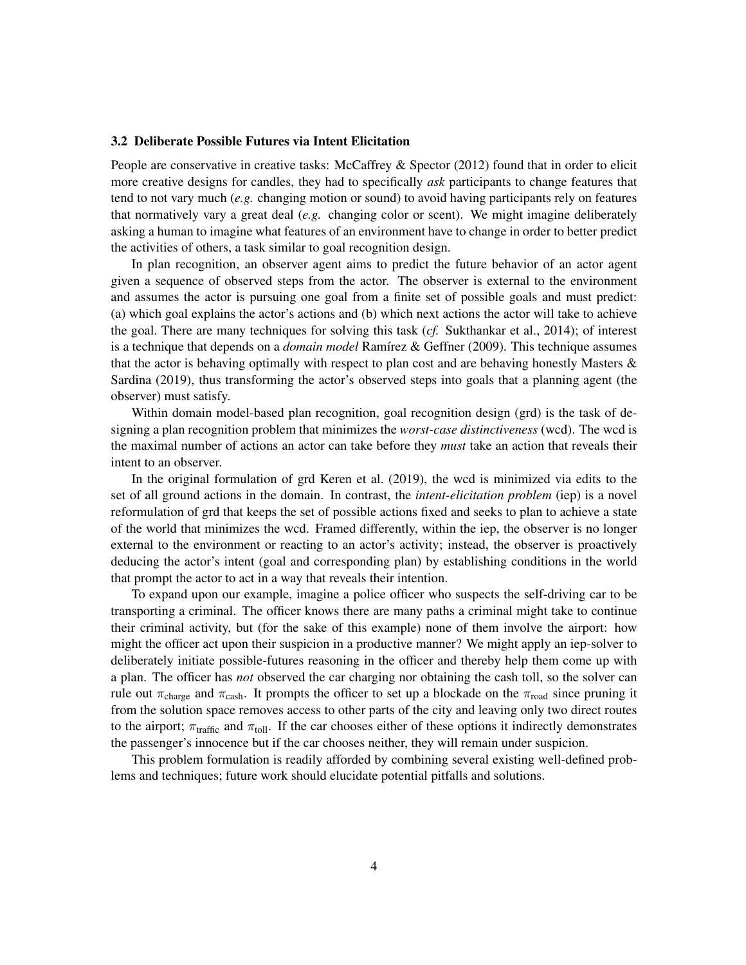#### 3.2 Deliberate Possible Futures via Intent Elicitation

People are conservative in creative tasks: McCaffrey & Spector (2012) found that in order to elicit more creative designs for candles, they had to specifically *ask* participants to change features that tend to not vary much (*e.g.* changing motion or sound) to avoid having participants rely on features that normatively vary a great deal (*e.g.* changing color or scent). We might imagine deliberately asking a human to imagine what features of an environment have to change in order to better predict the activities of others, a task similar to goal recognition design.

In plan recognition, an observer agent aims to predict the future behavior of an actor agent given a sequence of observed steps from the actor. The observer is external to the environment and assumes the actor is pursuing one goal from a finite set of possible goals and must predict: (a) which goal explains the actor's actions and (b) which next actions the actor will take to achieve the goal. There are many techniques for solving this task (*cf.* Sukthankar et al., 2014); of interest is a technique that depends on a *domain model* Ramírez & Geffner (2009). This technique assumes that the actor is behaving optimally with respect to plan cost and are behaving honestly Masters  $\&$ Sardina (2019), thus transforming the actor's observed steps into goals that a planning agent (the observer) must satisfy.

Within domain model-based plan recognition, goal recognition design (grd) is the task of designing a plan recognition problem that minimizes the *worst-case distinctiveness* (wcd). The wcd is the maximal number of actions an actor can take before they *must* take an action that reveals their intent to an observer.

In the original formulation of grd Keren et al. (2019), the wcd is minimized via edits to the set of all ground actions in the domain. In contrast, the *intent-elicitation problem* (iep) is a novel reformulation of grd that keeps the set of possible actions fixed and seeks to plan to achieve a state of the world that minimizes the wcd. Framed differently, within the iep, the observer is no longer external to the environment or reacting to an actor's activity; instead, the observer is proactively deducing the actor's intent (goal and corresponding plan) by establishing conditions in the world that prompt the actor to act in a way that reveals their intention.

To expand upon our example, imagine a police officer who suspects the self-driving car to be transporting a criminal. The officer knows there are many paths a criminal might take to continue their criminal activity, but (for the sake of this example) none of them involve the airport: how might the officer act upon their suspicion in a productive manner? We might apply an iep-solver to deliberately initiate possible-futures reasoning in the officer and thereby help them come up with a plan. The officer has *not* observed the car charging nor obtaining the cash toll, so the solver can rule out  $\pi_{\text{charge}}$  and  $\pi_{\text{cash}}$ . It prompts the officer to set up a blockade on the  $\pi_{\text{road}}$  since pruning it from the solution space removes access to other parts of the city and leaving only two direct routes to the airport;  $\pi_{\text{traffic}}$  and  $\pi_{\text{tol}}$ . If the car chooses either of these options it indirectly demonstrates the passenger's innocence but if the car chooses neither, they will remain under suspicion.

This problem formulation is readily afforded by combining several existing well-defined problems and techniques; future work should elucidate potential pitfalls and solutions.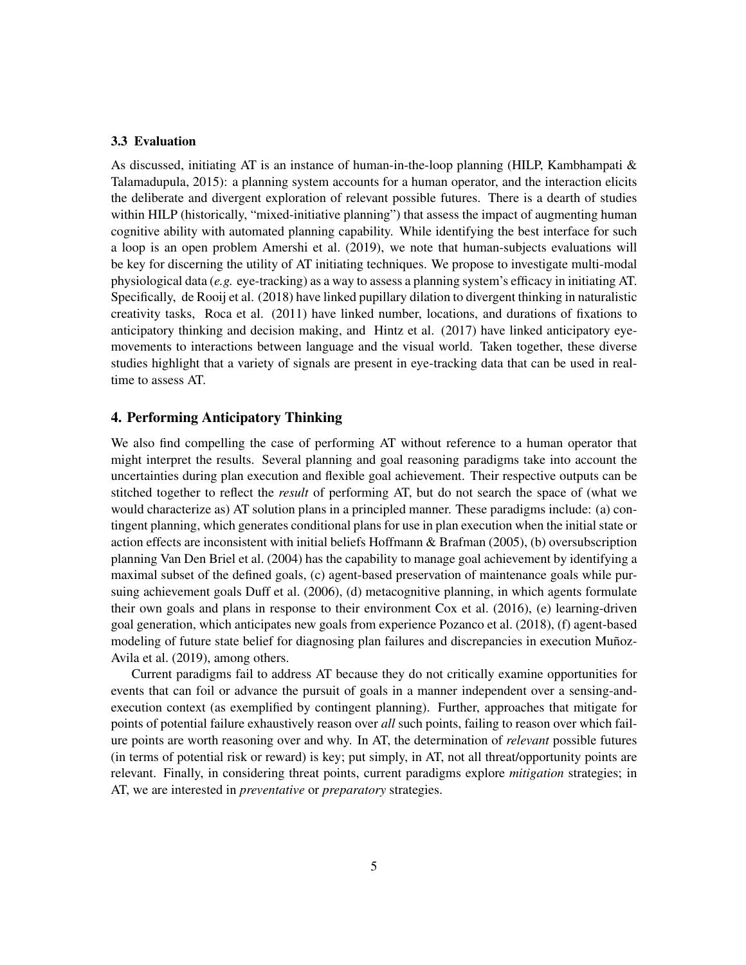### 3.3 Evaluation

As discussed, initiating AT is an instance of human-in-the-loop planning (HILP, Kambhampati & Talamadupula, 2015): a planning system accounts for a human operator, and the interaction elicits the deliberate and divergent exploration of relevant possible futures. There is a dearth of studies within HILP (historically, "mixed-initiative planning") that assess the impact of augmenting human cognitive ability with automated planning capability. While identifying the best interface for such a loop is an open problem Amershi et al. (2019), we note that human-subjects evaluations will be key for discerning the utility of AT initiating techniques. We propose to investigate multi-modal physiological data (*e.g.* eye-tracking) as a way to assess a planning system's efficacy in initiating AT. Specifically, de Rooij et al. (2018) have linked pupillary dilation to divergent thinking in naturalistic creativity tasks, Roca et al. (2011) have linked number, locations, and durations of fixations to anticipatory thinking and decision making, and Hintz et al. (2017) have linked anticipatory eyemovements to interactions between language and the visual world. Taken together, these diverse studies highlight that a variety of signals are present in eye-tracking data that can be used in realtime to assess AT.

# 4. Performing Anticipatory Thinking

We also find compelling the case of performing AT without reference to a human operator that might interpret the results. Several planning and goal reasoning paradigms take into account the uncertainties during plan execution and flexible goal achievement. Their respective outputs can be stitched together to reflect the *result* of performing AT, but do not search the space of (what we would characterize as) AT solution plans in a principled manner. These paradigms include: (a) contingent planning, which generates conditional plans for use in plan execution when the initial state or action effects are inconsistent with initial beliefs Hoffmann & Brafman (2005), (b) oversubscription planning Van Den Briel et al. (2004) has the capability to manage goal achievement by identifying a maximal subset of the defined goals, (c) agent-based preservation of maintenance goals while pursuing achievement goals Duff et al. (2006), (d) metacognitive planning, in which agents formulate their own goals and plans in response to their environment Cox et al. (2016), (e) learning-driven goal generation, which anticipates new goals from experience Pozanco et al. (2018), (f) agent-based modeling of future state belief for diagnosing plan failures and discrepancies in execution Muñoz-Avila et al. (2019), among others.

Current paradigms fail to address AT because they do not critically examine opportunities for events that can foil or advance the pursuit of goals in a manner independent over a sensing-andexecution context (as exemplified by contingent planning). Further, approaches that mitigate for points of potential failure exhaustively reason over *all* such points, failing to reason over which failure points are worth reasoning over and why. In AT, the determination of *relevant* possible futures (in terms of potential risk or reward) is key; put simply, in AT, not all threat/opportunity points are relevant. Finally, in considering threat points, current paradigms explore *mitigation* strategies; in AT, we are interested in *preventative* or *preparatory* strategies.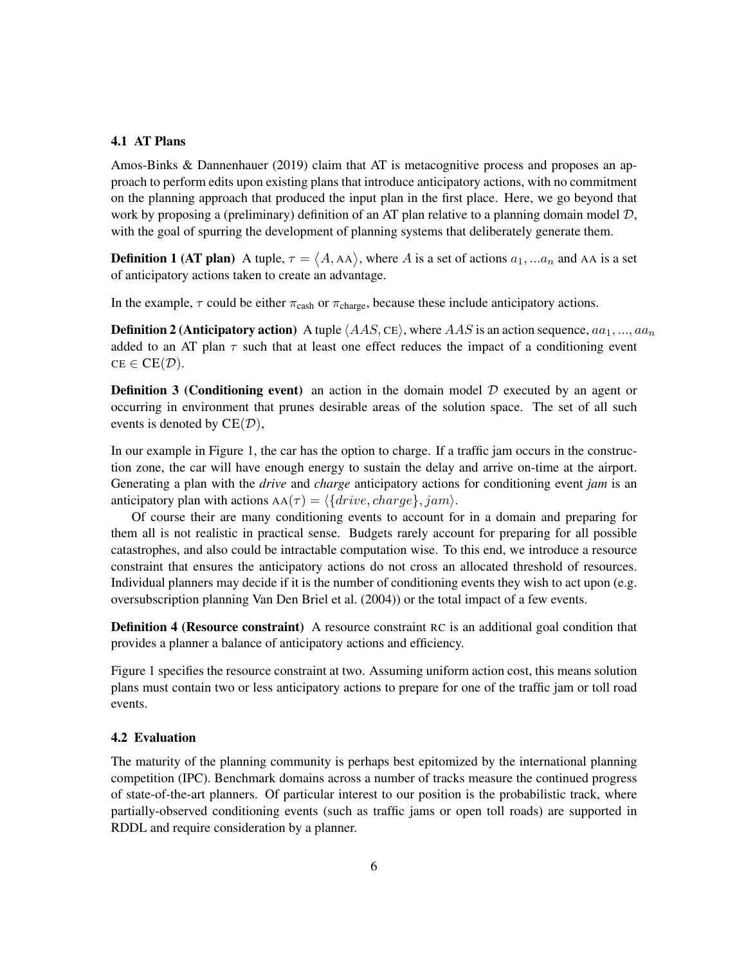## 4.1 AT Plans

Amos-Binks & Dannenhauer (2019) claim that AT is metacognitive process and proposes an approach to perform edits upon existing plans that introduce anticipatory actions, with no commitment on the planning approach that produced the input plan in the first place. Here, we go beyond that work by proposing a (preliminary) definition of an AT plan relative to a planning domain model  $D$ , with the goal of spurring the development of planning systems that deliberately generate them.

**Definition 1 (AT plan)** A tuple,  $\tau = \langle A, A \rangle$ , where A is a set of actions  $a_1, ... a_n$  and AA is a set of anticipatory actions taken to create an advantage.

In the example,  $\tau$  could be either  $\pi_{\text{cash}}$  or  $\pi_{\text{charge}}$ , because these include anticipatory actions.

**Definition 2 (Anticipatory action)** A tuple  $\langle AAS, CE \rangle$ , where  $AAS$  is an action sequence,  $aa_1, ..., aa_n$ added to an AT plan  $\tau$  such that at least one effect reduces the impact of a conditioning event  $CE \in CE(\mathcal{D}).$ 

**Definition 3 (Conditioning event)** an action in the domain model  $D$  executed by an agent or occurring in environment that prunes desirable areas of the solution space. The set of all such events is denoted by  $CE(\mathcal{D})$ ,

In our example in Figure 1, the car has the option to charge. If a traffic jam occurs in the construction zone, the car will have enough energy to sustain the delay and arrive on-time at the airport. Generating a plan with the *drive* and *charge* anticipatory actions for conditioning event *jam* is an anticipatory plan with actions  $AA(\tau) = \langle \{drive, charge\}, jam \rangle$ .

Of course their are many conditioning events to account for in a domain and preparing for them all is not realistic in practical sense. Budgets rarely account for preparing for all possible catastrophes, and also could be intractable computation wise. To this end, we introduce a resource constraint that ensures the anticipatory actions do not cross an allocated threshold of resources. Individual planners may decide if it is the number of conditioning events they wish to act upon (e.g. oversubscription planning Van Den Briel et al. (2004)) or the total impact of a few events.

Definition 4 (Resource constraint) A resource constraint RC is an additional goal condition that provides a planner a balance of anticipatory actions and efficiency.

Figure 1 specifies the resource constraint at two. Assuming uniform action cost, this means solution plans must contain two or less anticipatory actions to prepare for one of the traffic jam or toll road events.

#### 4.2 Evaluation

The maturity of the planning community is perhaps best epitomized by the international planning competition (IPC). Benchmark domains across a number of tracks measure the continued progress of state-of-the-art planners. Of particular interest to our position is the probabilistic track, where partially-observed conditioning events (such as traffic jams or open toll roads) are supported in RDDL and require consideration by a planner.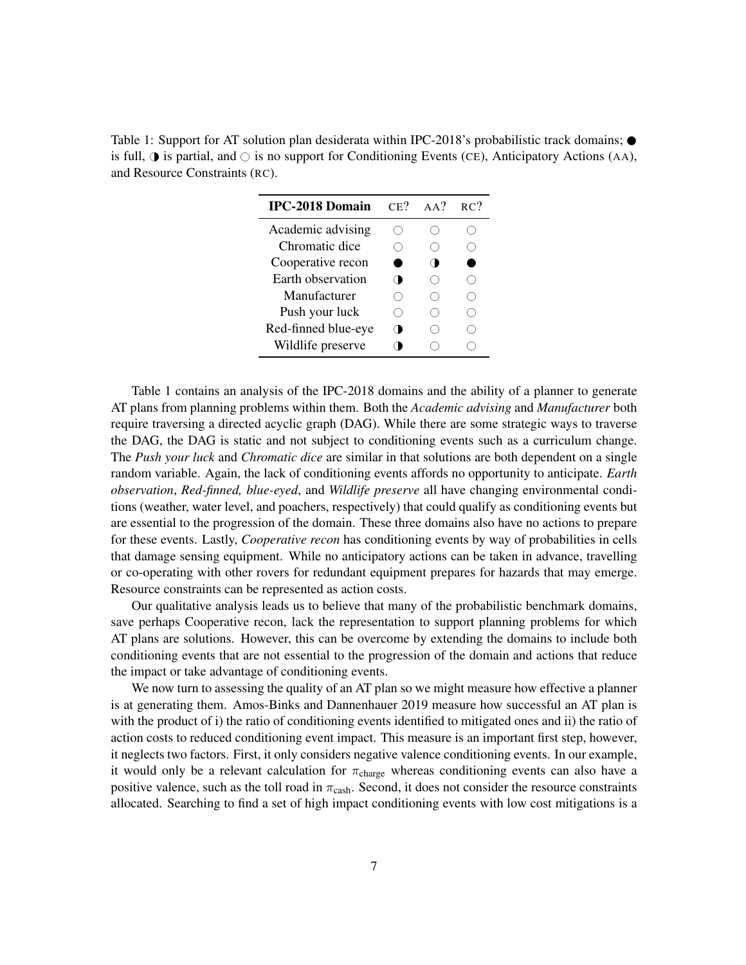Table 1: Support for AT solution plan desiderata within IPC-2018's probabilistic track domains;  $\bullet$ is full,  $\bigcirc$  is partial, and  $\bigcirc$  is no support for Conditioning Events (CE), Anticipatory Actions (AA), and Resource Constraints (RC).

| <b>IPC-2018 Domain</b> | $CE$ ? | $AA^2$     | RC? |
|------------------------|--------|------------|-----|
| Academic advising      |        |            |     |
| Chromatic dice         |        |            |     |
| Cooperative recon      |        |            |     |
| Earth observation      |        |            |     |
| Manufacturer           |        |            |     |
| Push your luck         |        | $^{\circ}$ |     |
| Red-finned blue-eye    |        |            |     |
| Wildlife preserve      |        |            |     |

Table 1 contains an analysis of the IPC-2018 domains and the ability of a planner to generate AT plans from planning problems within them. Both the *Academic advising* and *Manufacturer* both require traversing a directed acyclic graph (DAG). While there are some strategic ways to traverse the DAG, the DAG is static and not subject to conditioning events such as a curriculum change. The *Push your luck* and *Chromatic dice* are similar in that solutions are both dependent on a single random variable. Again, the lack of conditioning events affords no opportunity to anticipate. *Earth observation*, *Red-finned, blue-eyed*, and *Wildlife preserve* all have changing environmental conditions (weather, water level, and poachers, respectively) that could qualify as conditioning events but are essential to the progression of the domain. These three domains also have no actions to prepare for these events. Lastly, *Cooperative recon* has conditioning events by way of probabilities in cells that damage sensing equipment. While no anticipatory actions can be taken in advance, travelling or co-operating with other rovers for redundant equipment prepares for hazards that may emerge. Resource constraints can be represented as action costs.

Our qualitative analysis leads us to believe that many of the probabilistic benchmark domains, save perhaps Cooperative recon, lack the representation to support planning problems for which AT plans are solutions. However, this can be overcome by extending the domains to include both conditioning events that are not essential to the progression of the domain and actions that reduce the impact or take advantage of conditioning events.

We now turn to assessing the quality of an AT plan so we might measure how effective a planner is at generating them. Amos-Binks and Dannenhauer 2019 measure how successful an AT plan is with the product of i) the ratio of conditioning events identified to mitigated ones and ii) the ratio of action costs to reduced conditioning event impact. This measure is an important first step, however, it neglects two factors. First, it only considers negative valence conditioning events. In our example, it would only be a relevant calculation for  $\pi_{charge}$  whereas conditioning events can also have a positive valence, such as the toll road in  $\pi_{\text{cash}}$ . Second, it does not consider the resource constraints allocated. Searching to find a set of high impact conditioning events with low cost mitigations is a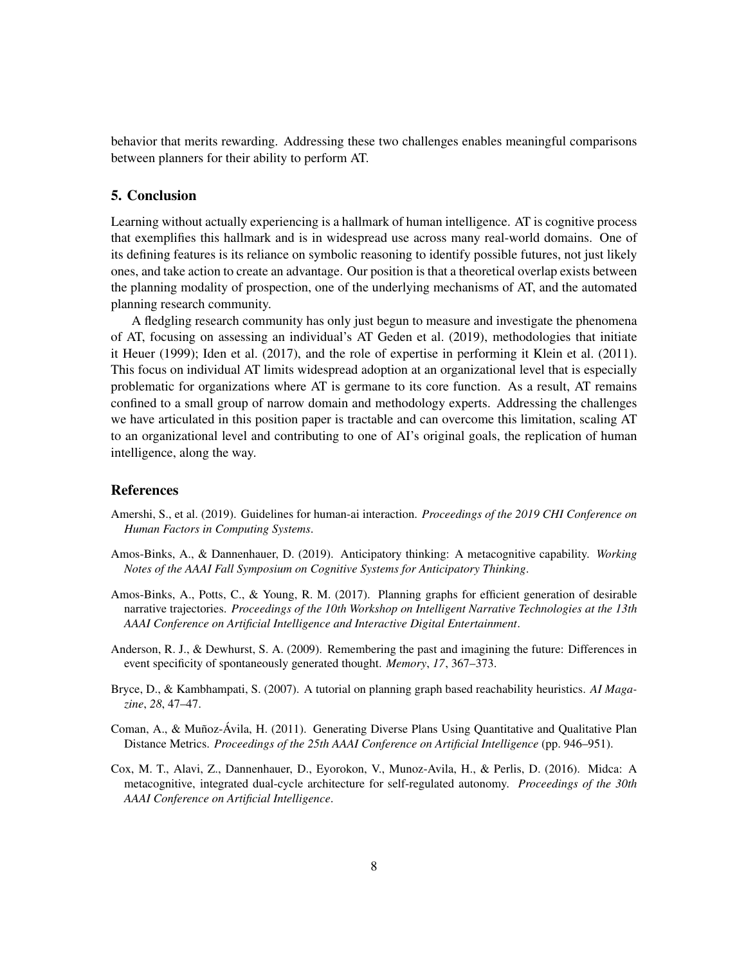behavior that merits rewarding. Addressing these two challenges enables meaningful comparisons between planners for their ability to perform AT.

## 5. Conclusion

Learning without actually experiencing is a hallmark of human intelligence. AT is cognitive process that exemplifies this hallmark and is in widespread use across many real-world domains. One of its defining features is its reliance on symbolic reasoning to identify possible futures, not just likely ones, and take action to create an advantage. Our position is that a theoretical overlap exists between the planning modality of prospection, one of the underlying mechanisms of AT, and the automated planning research community.

A fledgling research community has only just begun to measure and investigate the phenomena of AT, focusing on assessing an individual's AT Geden et al. (2019), methodologies that initiate it Heuer (1999); Iden et al. (2017), and the role of expertise in performing it Klein et al. (2011). This focus on individual AT limits widespread adoption at an organizational level that is especially problematic for organizations where AT is germane to its core function. As a result, AT remains confined to a small group of narrow domain and methodology experts. Addressing the challenges we have articulated in this position paper is tractable and can overcome this limitation, scaling AT to an organizational level and contributing to one of AI's original goals, the replication of human intelligence, along the way.

## References

- Amershi, S., et al. (2019). Guidelines for human-ai interaction. *Proceedings of the 2019 CHI Conference on Human Factors in Computing Systems*.
- Amos-Binks, A., & Dannenhauer, D. (2019). Anticipatory thinking: A metacognitive capability. *Working Notes of the AAAI Fall Symposium on Cognitive Systems for Anticipatory Thinking*.
- Amos-Binks, A., Potts, C., & Young, R. M. (2017). Planning graphs for efficient generation of desirable narrative trajectories. *Proceedings of the 10th Workshop on Intelligent Narrative Technologies at the 13th AAAI Conference on Artificial Intelligence and Interactive Digital Entertainment*.
- Anderson, R. J., & Dewhurst, S. A. (2009). Remembering the past and imagining the future: Differences in event specificity of spontaneously generated thought. *Memory*, *17*, 367–373.
- Bryce, D., & Kambhampati, S. (2007). A tutorial on planning graph based reachability heuristics. *AI Magazine*, *28*, 47–47.
- Coman, A., & Muñoz-Ávila, H. (2011). Generating Diverse Plans Using Quantitative and Qualitative Plan Distance Metrics. *Proceedings of the 25th AAAI Conference on Artificial Intelligence* (pp. 946–951).
- Cox, M. T., Alavi, Z., Dannenhauer, D., Eyorokon, V., Munoz-Avila, H., & Perlis, D. (2016). Midca: A metacognitive, integrated dual-cycle architecture for self-regulated autonomy. *Proceedings of the 30th AAAI Conference on Artificial Intelligence*.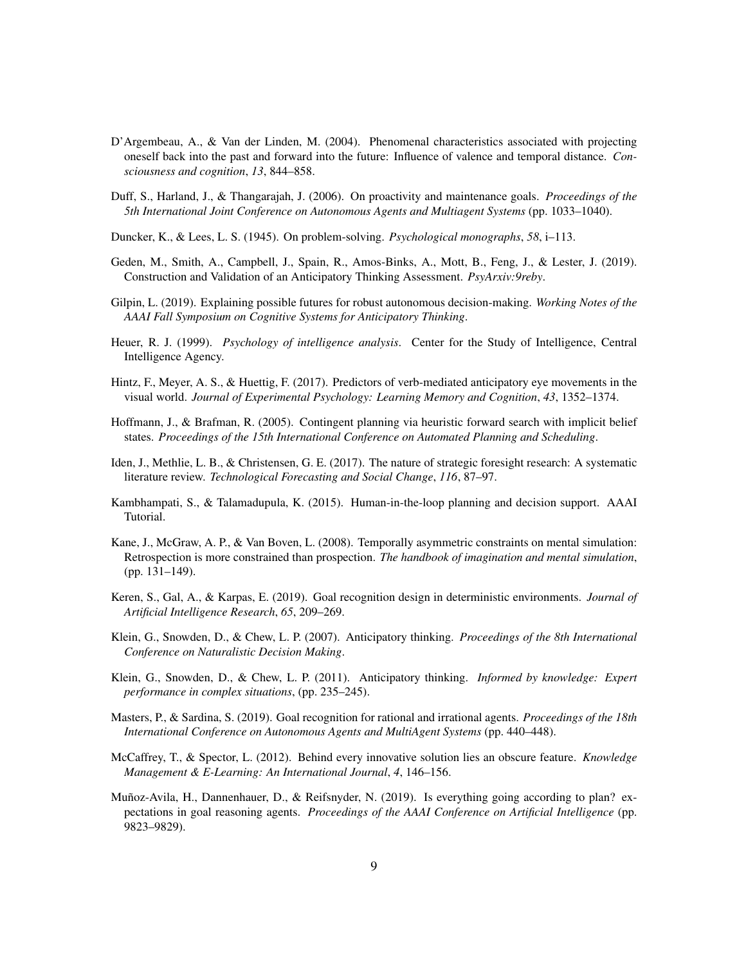- D'Argembeau, A., & Van der Linden, M. (2004). Phenomenal characteristics associated with projecting oneself back into the past and forward into the future: Influence of valence and temporal distance. *Consciousness and cognition*, *13*, 844–858.
- Duff, S., Harland, J., & Thangarajah, J. (2006). On proactivity and maintenance goals. *Proceedings of the 5th International Joint Conference on Autonomous Agents and Multiagent Systems* (pp. 1033–1040).
- Duncker, K., & Lees, L. S. (1945). On problem-solving. *Psychological monographs*, *58*, i–113.
- Geden, M., Smith, A., Campbell, J., Spain, R., Amos-Binks, A., Mott, B., Feng, J., & Lester, J. (2019). Construction and Validation of an Anticipatory Thinking Assessment. *PsyArxiv:9reby*.
- Gilpin, L. (2019). Explaining possible futures for robust autonomous decision-making. *Working Notes of the AAAI Fall Symposium on Cognitive Systems for Anticipatory Thinking*.
- Heuer, R. J. (1999). *Psychology of intelligence analysis*. Center for the Study of Intelligence, Central Intelligence Agency.
- Hintz, F., Meyer, A. S., & Huettig, F. (2017). Predictors of verb-mediated anticipatory eye movements in the visual world. *Journal of Experimental Psychology: Learning Memory and Cognition*, *43*, 1352–1374.
- Hoffmann, J., & Brafman, R. (2005). Contingent planning via heuristic forward search with implicit belief states. *Proceedings of the 15th International Conference on Automated Planning and Scheduling*.
- Iden, J., Methlie, L. B., & Christensen, G. E. (2017). The nature of strategic foresight research: A systematic literature review. *Technological Forecasting and Social Change*, *116*, 87–97.
- Kambhampati, S., & Talamadupula, K. (2015). Human-in-the-loop planning and decision support. AAAI Tutorial.
- Kane, J., McGraw, A. P., & Van Boven, L. (2008). Temporally asymmetric constraints on mental simulation: Retrospection is more constrained than prospection. *The handbook of imagination and mental simulation*, (pp. 131–149).
- Keren, S., Gal, A., & Karpas, E. (2019). Goal recognition design in deterministic environments. *Journal of Artificial Intelligence Research*, *65*, 209–269.
- Klein, G., Snowden, D., & Chew, L. P. (2007). Anticipatory thinking. *Proceedings of the 8th International Conference on Naturalistic Decision Making*.
- Klein, G., Snowden, D., & Chew, L. P. (2011). Anticipatory thinking. *Informed by knowledge: Expert performance in complex situations*, (pp. 235–245).
- Masters, P., & Sardina, S. (2019). Goal recognition for rational and irrational agents. *Proceedings of the 18th International Conference on Autonomous Agents and MultiAgent Systems* (pp. 440–448).
- McCaffrey, T., & Spector, L. (2012). Behind every innovative solution lies an obscure feature. *Knowledge Management & E-Learning: An International Journal*, *4*, 146–156.
- Muñoz-Avila, H., Dannenhauer, D., & Reifsnyder, N. (2019). Is everything going according to plan? expectations in goal reasoning agents. *Proceedings of the AAAI Conference on Artificial Intelligence* (pp. 9823–9829).